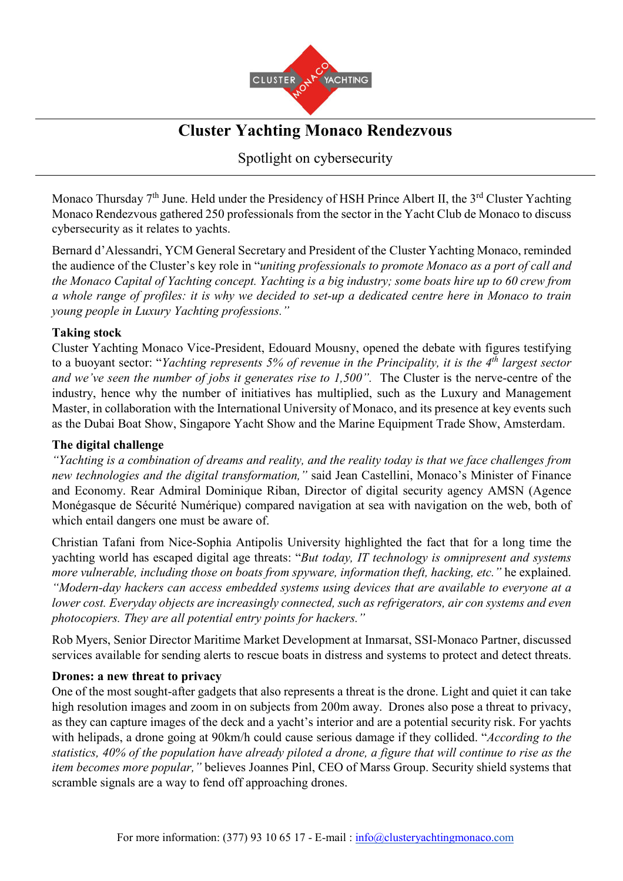

# **Cluster Yachting Monaco Rendezvous**

Spotlight on cybersecurity

Monaco Thursday  $7<sup>th</sup>$  June. Held under the Presidency of HSH Prince Albert II, the  $3<sup>rd</sup>$  Cluster Yachting Monaco Rendezvous gathered 250 professionals from the sector in the Yacht Club de Monaco to discuss cybersecurity as it relates to yachts.

Bernard d'Alessandri, YCM General Secretary and President of the Cluster Yachting Monaco, reminded the audience of the Cluster's key role in "*uniting professionals to promote Monaco as a port of call and the Monaco Capital of Yachting concept. Yachting is a big industry; some boats hire up to 60 crew from a whole range of profiles: it is why we decided to set-up a dedicated centre here in Monaco to train young people in Luxury Yachting professions."* 

## **Taking stock**

Cluster Yachting Monaco Vice-President, Edouard Mousny, opened the debate with figures testifying to a buoyant sector: "*Yachting represents 5% of revenue in the Principality, it is the 4th largest sector and we've seen the number of jobs it generates rise to 1,500".* The Cluster is the nerve-centre of the industry, hence why the number of initiatives has multiplied, such as the Luxury and Management Master, in collaboration with the International University of Monaco, and its presence at key events such as the Dubai Boat Show, Singapore Yacht Show and the Marine Equipment Trade Show, Amsterdam.

## **The digital challenge**

*"Yachting is a combination of dreams and reality, and the reality today is that we face challenges from new technologies and the digital transformation,"* said Jean Castellini, Monaco's Minister of Finance and Economy. Rear Admiral Dominique Riban, Director of digital security agency AMSN (Agence Monégasque de Sécurité Numérique) compared navigation at sea with navigation on the web, both of which entail dangers one must be aware of.

Christian Tafani from Nice-Sophia Antipolis University highlighted the fact that for a long time the yachting world has escaped digital age threats: "*But today, IT technology is omnipresent and systems more vulnerable, including those on boats from spyware, information theft, hacking, etc."* he explained. *"Modern-day hackers can access embedded systems using devices that are available to everyone at a lower cost. Everyday objects are increasingly connected, such as refrigerators, air con systems and even photocopiers. They are all potential entry points for hackers."*

Rob Myers, Senior Director Maritime Market Development at Inmarsat, SSI-Monaco Partner, discussed services available for sending alerts to rescue boats in distress and systems to protect and detect threats.

## **Drones: a new threat to privacy**

One of the most sought-after gadgets that also represents a threat is the drone. Light and quiet it can take high resolution images and zoom in on subjects from 200m away. Drones also pose a threat to privacy, as they can capture images of the deck and a yacht's interior and are a potential security risk. For yachts with helipads, a drone going at 90km/h could cause serious damage if they collided. "*According to the statistics, 40% of the population have already piloted a drone, a figure that will continue to rise as the item becomes more popular,"* believes Joannes Pinl, CEO of Marss Group. Security shield systems that scramble signals are a way to fend off approaching drones.